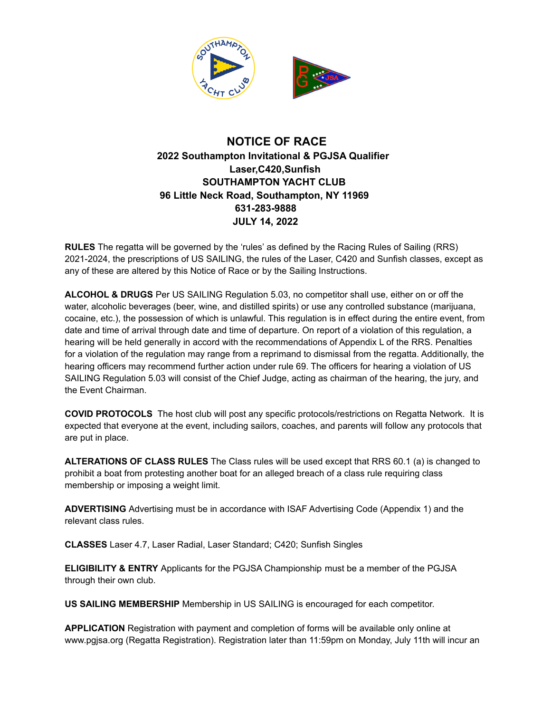

## **NOTICE OF RACE 2022 Southampton Invitational & PGJSA Qualifier Laser,C420,Sunfish SOUTHAMPTON YACHT CLUB 96 Little Neck Road, Southampton, NY 11969 631-283-9888 JULY 14, 2022**

**RULES** The regatta will be governed by the 'rules' as defined by the Racing Rules of Sailing (RRS) 2021-2024, the prescriptions of US SAILING, the rules of the Laser, C420 and Sunfish classes, except as any of these are altered by this Notice of Race or by the Sailing Instructions.

**ALCOHOL & DRUGS** Per US SAILING Regulation 5.03, no competitor shall use, either on or off the water, alcoholic beverages (beer, wine, and distilled spirits) or use any controlled substance (marijuana, cocaine, etc.), the possession of which is unlawful. This regulation is in effect during the entire event, from date and time of arrival through date and time of departure. On report of a violation of this regulation, a hearing will be held generally in accord with the recommendations of Appendix L of the RRS. Penalties for a violation of the regulation may range from a reprimand to dismissal from the regatta. Additionally, the hearing officers may recommend further action under rule 69. The officers for hearing a violation of US SAILING Regulation 5.03 will consist of the Chief Judge, acting as chairman of the hearing, the jury, and the Event Chairman.

**COVID PROTOCOLS** The host club will post any specific protocols/restrictions on Regatta Network. It is expected that everyone at the event, including sailors, coaches, and parents will follow any protocols that are put in place.

**ALTERATIONS OF CLASS RULES** The Class rules will be used except that RRS 60.1 (a) is changed to prohibit a boat from protesting another boat for an alleged breach of a class rule requiring class membership or imposing a weight limit.

**ADVERTISING** Advertising must be in accordance with ISAF Advertising Code (Appendix 1) and the relevant class rules.

**CLASSES** Laser 4.7, Laser Radial, Laser Standard; C420; Sunfish Singles

**ELIGIBILITY & ENTRY** Applicants for the PGJSA Championship must be a member of the PGJSA through their own club.

**US SAILING MEMBERSHIP** Membership in US SAILING is encouraged for each competitor.

**APPLICATION** Registration with payment and completion of forms will be available only online at www.pgjsa.org (Regatta Registration). Registration later than 11:59pm on Monday, July 11th will incur an